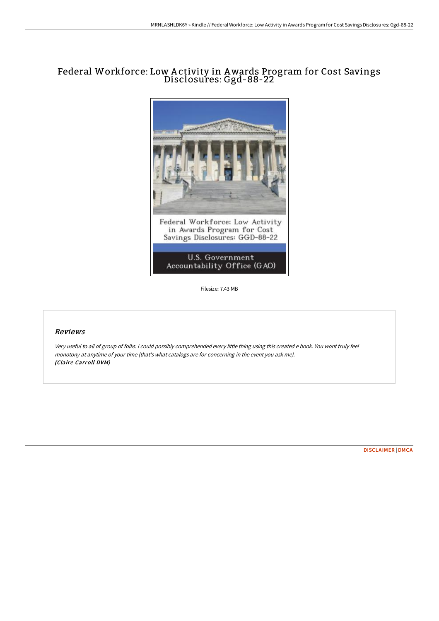## Federal Workforce: Low A ctivity in Awards Program for Cost Savings Disclosures: Ggd-88-22



Filesize: 7.43 MB

## Reviews

Very useful to all of group of folks. <sup>I</sup> could possibly comprehended every little thing using this created <sup>e</sup> book. You wont truly feel monotony at anytime of your time (that's what catalogs are for concerning in the event you ask me). (Claire Carroll DVM)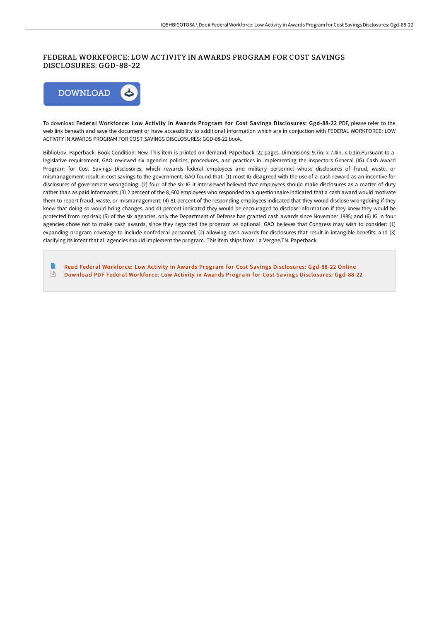## FEDERAL WORKFORCE: LOW ACTIVITY IN AWARDS PROGRAM FOR COST SAVINGS DISCLOSURES: GGD-88-22



To download Federal Workforce: Low Activity in Awards Program for Cost Savings Disclosures: Ggd-88-22 PDF, please refer to the web link beneath and save the document or have accessibility to additional information which are in conjuction with FEDERAL WORKFORCE: LOW ACTIVITY IN AWARDS PROGRAM FOR COST SAVINGS DISCLOSURES: GGD-88-22 book.

BiblioGov. Paperback. Book Condition: New. This item is printed on demand. Paperback. 22 pages. Dimensions: 9.7in. x 7.4in. x 0.1in.Pursuant to a legislative requirement, GAO reviewed six agencies policies, procedures, and practices in implementing the Inspectors General (IG) Cash Award Program for Cost Savings Disclosures, which rewards federal employees and military personnel whose disclosures of fraud, waste, or mismanagement result in cost savings to the government. GAO found that: (1) most IG disagreed with the use of a cash reward as an incentive for disclosures of government wrongdoing; (2) four of the six IG it interviewed believed that employees should make disclosures as a matter of duty rather than as paid informants; (3) 2 percent of the 8, 600 employees who responded to a questionnaire indicated that a cash award would motivate them to report fraud, waste, or mismanagement; (4) 81 percent of the responding employees indicated that they would disclose wrongdoing if they knew that doing so would bring changes, and 41 percent indicated they would be encouraged to disclose information if they knew they would be protected from reprisal; (5) of the six agencies, only the Department of Defense has granted cash awards since November 1985; and (6) IG in four agencies chose not to make cash awards, since they regarded the program as optional. GAO believes that Congress may wish to consider: (1) expanding program coverage to include nonfederal personnel; (2) allowing cash awards for disclosures that result in intangible benefits; and (3) clarifying its intent that all agencies should implement the program. This item ships from La Vergne,TN. Paperback.

E Read Federal Workforce: Low Activity in Awards Program for Cost Savings [Disclosures:](http://bookera.tech/federal-workforce-low-activity-in-awards-program.html) Ggd-88-22 Online  $\left| \frac{1}{100} \right|$ Download PDF Federal Workforce: Low Activity in Awards Program for Cost Savings [Disclosures:](http://bookera.tech/federal-workforce-low-activity-in-awards-program.html) Ggd-88-22